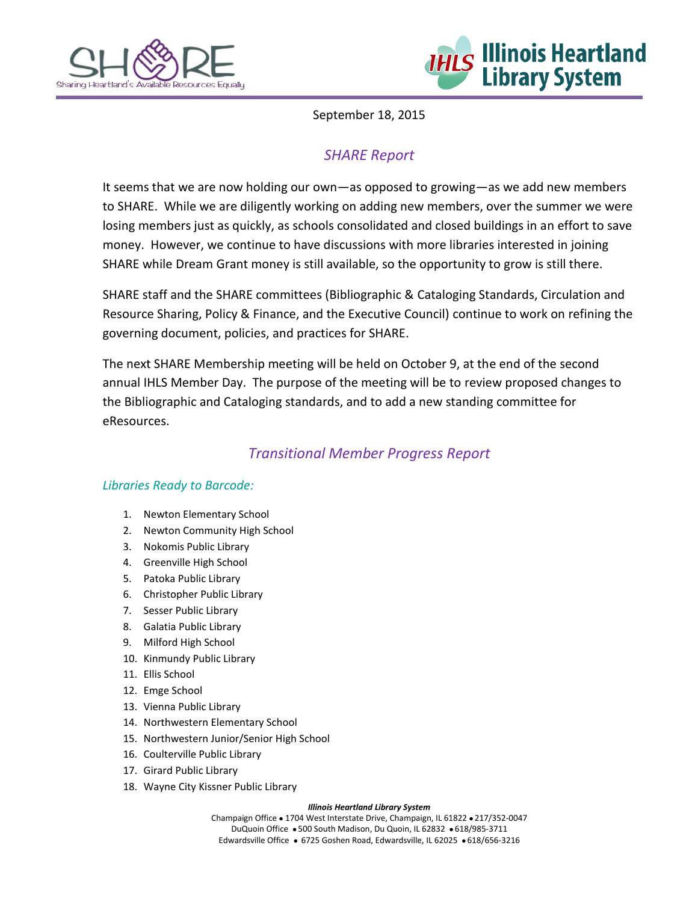



September 18, 2015

# *SHARE Report*

It seems that we are now holding our own—as opposed to growing—as we add new members to SHARE. While we are diligently working on adding new members, over the summer we were losing members just as quickly, as schools consolidated and closed buildings in an effort to save money. However, we continue to have discussions with more libraries interested in joining SHARE while Dream Grant money is still available, so the opportunity to grow is still there.

SHARE staff and the SHARE committees (Bibliographic & Cataloging Standards, Circulation and Resource Sharing, Policy & Finance, and the Executive Council) continue to work on refining the governing document, policies, and practices for SHARE.

The next SHARE Membership meeting will be held on October 9, at the end of the second annual IHLS Member Day. The purpose of the meeting will be to review proposed changes to the Bibliographic and Cataloging standards, and to add a new standing committee for eResources.

# *Transitional Member Progress Report*

### *Libraries Ready to Barcode:*

- 1. Newton Elementary School
- 2. Newton Community High School
- 3. Nokomis Public Library
- 4. Greenville High School
- 5. Patoka Public Library
- 6. Christopher Public Library
- 7. Sesser Public Library
- 8. Galatia Public Library
- 9. Milford High School
- 10. Kinmundy Public Library
- 11. Ellis School
- 12. Emge School
- 13. Vienna Public Library
- 14. Northwestern Elementary School
- 15. Northwestern Junior/Senior High School
- 16. Coulterville Public Library
- 17. Girard Public Library
- 18. Wayne City Kissner Public Library

#### *Illinois Heartland Library System*

Champaign Office . 1704 West Interstate Drive, Champaign, IL 61822 . 217/352-0047 DuQuoin Office . 500 South Madison, Du Quoin, IL 62832 . 618/985-3711 Edwardsville Office · 6725 Goshen Road, Edwardsville, IL 62025 · 618/656-3216